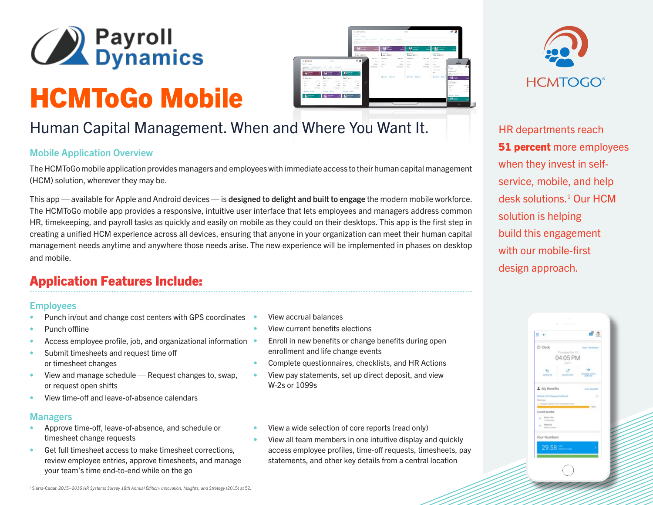

# HCMToGo Mobile



# Human Capital Management. When and Where You Want It.

#### Mobile Application Overview

The HCMToGo mobile application provides managers and employees with immediate access to their human capital management (HCM) solution, wherever they may be.

This app — available for Apple and Android devices — is designed to delight and built to engage the modern mobile workforce. The HCMToGo mobile app provides a responsive, intuitive user interface that lets employees and managers address common HR, timekeeping, and payroll tasks as quickly and easily on mobile as they could on their desktops. This app is the first step in creating a unified HCM experience across all devices, ensuring that anyone in your organization can meet their human capital management needs anytime and anywhere those needs arise. The new experience will be implemented in phases on desktop and mobile.

## Application Features Include:

#### **Employees**

- Punch in/out and change cost centers with GPS coordinates
- Punch offline
- Access employee profile, job, and organizational information •
- Submit timesheets and request time off or timesheet changes
- View and manage schedule Request changes to, swap, or request open shifts
- View time-off and leave-of-absence calendars

#### Managers

- Approve time-off, leave-of-absence, and schedule or timesheet change requests
- Get full timesheet access to make timesheet corrections, review employee entries, approve timesheets, and manage your team's time end-to-end while on the go
- View accrual balances
- View current benefits elections
- Enroll in new benefits or change benefits during open enrollment and life change events
- Complete questionnaires, checklists, and HR Actions
- View pay statements, set up direct deposit, and view W-2s or 1099s
- View a wide selection of core reports (read only)
- View all team members in one intuitive display and quickly access employee profiles, time-off requests, timesheets, pay statements, and other key details from a central location



HR departments reach **51 percent** more employees when they invest in selfservice, mobile, and help desk solutions.1 Our HCM solution is helping build this engagement with our mobile-first design approach.